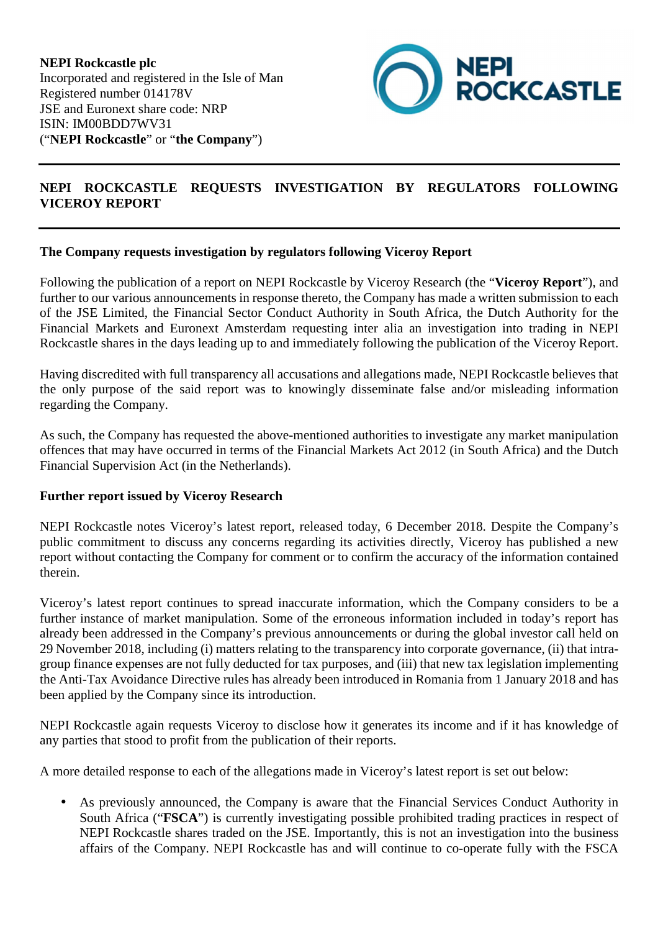

## **NEPI ROCKCASTLE REQUESTS INVESTIGATION BY REGULATORS FOLLOWING VICEROY REPORT**

## **The Company requests investigation by regulators following Viceroy Report**

Following the publication of a report on NEPI Rockcastle by Viceroy Research (the "**Viceroy Report**"), and further to our various announcements in response thereto, the Company has made a written submission to each of the JSE Limited, the Financial Sector Conduct Authority in South Africa, the Dutch Authority for the Financial Markets and Euronext Amsterdam requesting inter alia an investigation into trading in NEPI Rockcastle shares in the days leading up to and immediately following the publication of the Viceroy Report.

Having discredited with full transparency all accusations and allegations made, NEPI Rockcastle believes that the only purpose of the said report was to knowingly disseminate false and/or misleading information regarding the Company.

As such, the Company has requested the above-mentioned authorities to investigate any market manipulation offences that may have occurred in terms of the Financial Markets Act 2012 (in South Africa) and the Dutch Financial Supervision Act (in the Netherlands).

## **Further report issued by Viceroy Research**

NEPI Rockcastle notes Viceroy's latest report, released today, 6 December 2018. Despite the Company's public commitment to discuss any concerns regarding its activities directly, Viceroy has published a new report without contacting the Company for comment or to confirm the accuracy of the information contained therein.

Viceroy's latest report continues to spread inaccurate information, which the Company considers to be a further instance of market manipulation. Some of the erroneous information included in today's report has already been addressed in the Company's previous announcements or during the global investor call held on 29 November 2018, including (i) matters relating to the transparency into corporate governance, (ii) that intragroup finance expenses are not fully deducted for tax purposes, and (iii) that new tax legislation implementing the Anti-Tax Avoidance Directive rules has already been introduced in Romania from 1 January 2018 and has been applied by the Company since its introduction.

NEPI Rockcastle again requests Viceroy to disclose how it generates its income and if it has knowledge of any parties that stood to profit from the publication of their reports.

A more detailed response to each of the allegations made in Viceroy's latest report is set out below:

• As previously announced, the Company is aware that the Financial Services Conduct Authority in South Africa ("**FSCA**") is currently investigating possible prohibited trading practices in respect of NEPI Rockcastle shares traded on the JSE. Importantly, this is not an investigation into the business affairs of the Company. NEPI Rockcastle has and will continue to co-operate fully with the FSCA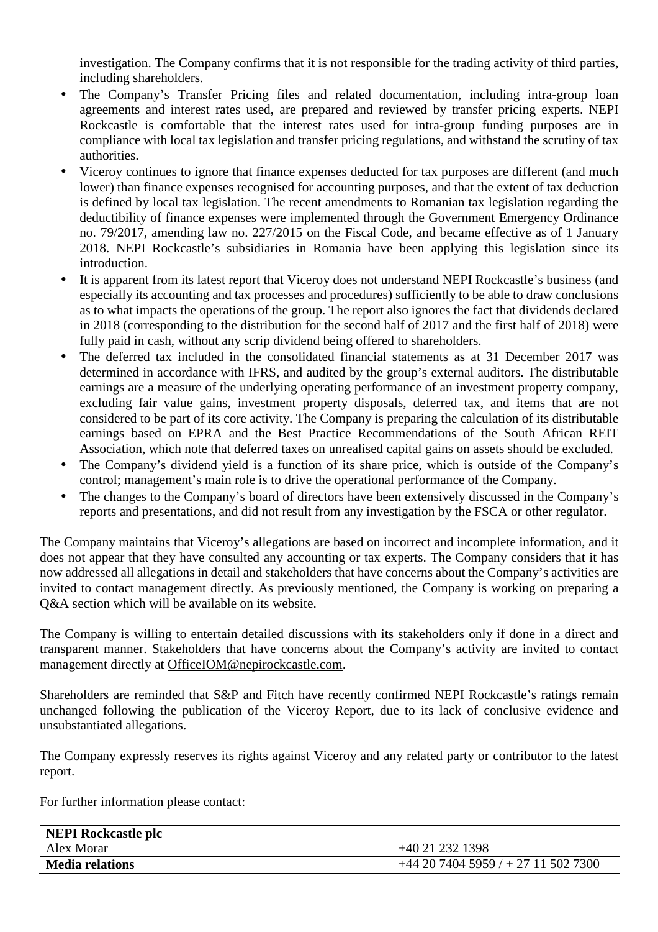investigation. The Company confirms that it is not responsible for the trading activity of third parties, including shareholders.

- The Company's Transfer Pricing files and related documentation, including intra-group loan agreements and interest rates used, are prepared and reviewed by transfer pricing experts. NEPI Rockcastle is comfortable that the interest rates used for intra-group funding purposes are in compliance with local tax legislation and transfer pricing regulations, and withstand the scrutiny of tax authorities.
- Viceroy continues to ignore that finance expenses deducted for tax purposes are different (and much lower) than finance expenses recognised for accounting purposes, and that the extent of tax deduction is defined by local tax legislation. The recent amendments to Romanian tax legislation regarding the deductibility of finance expenses were implemented through the Government Emergency Ordinance no. 79/2017, amending law no. 227/2015 on the Fiscal Code, and became effective as of 1 January 2018. NEPI Rockcastle's subsidiaries in Romania have been applying this legislation since its introduction.
- It is apparent from its latest report that Viceroy does not understand NEPI Rockcastle's business (and especially its accounting and tax processes and procedures) sufficiently to be able to draw conclusions as to what impacts the operations of the group. The report also ignores the fact that dividends declared in 2018 (corresponding to the distribution for the second half of 2017 and the first half of 2018) were fully paid in cash, without any scrip dividend being offered to shareholders.
- The deferred tax included in the consolidated financial statements as at 31 December 2017 was determined in accordance with IFRS, and audited by the group's external auditors. The distributable earnings are a measure of the underlying operating performance of an investment property company, excluding fair value gains, investment property disposals, deferred tax, and items that are not considered to be part of its core activity. The Company is preparing the calculation of its distributable earnings based on EPRA and the Best Practice Recommendations of the South African REIT Association, which note that deferred taxes on unrealised capital gains on assets should be excluded.
- The Company's dividend yield is a function of its share price, which is outside of the Company's control; management's main role is to drive the operational performance of the Company.
- The changes to the Company's board of directors have been extensively discussed in the Company's reports and presentations, and did not result from any investigation by the FSCA or other regulator.

The Company maintains that Viceroy's allegations are based on incorrect and incomplete information, and it does not appear that they have consulted any accounting or tax experts. The Company considers that it has now addressed all allegations in detail and stakeholders that have concerns about the Company's activities are invited to contact management directly. As previously mentioned, the Company is working on preparing a Q&A section which will be available on its website.

The Company is willing to entertain detailed discussions with its stakeholders only if done in a direct and transparent manner. Stakeholders that have concerns about the Company's activity are invited to contact management directly at OfficeIOM@nepirockcastle.com.

Shareholders are reminded that S&P and Fitch have recently confirmed NEPI Rockcastle's ratings remain unchanged following the publication of the Viceroy Report, due to its lack of conclusive evidence and unsubstantiated allegations.

The Company expressly reserves its rights against Viceroy and any related party or contributor to the latest report.

For further information please contact:

| <b>NEPI Rockcastle plc</b> |                                       |
|----------------------------|---------------------------------------|
| Alex Morar                 | +40 21 232 1398                       |
| <b>Media relations</b>     | $+44$ 20 7404 5959 / + 27 11 502 7300 |